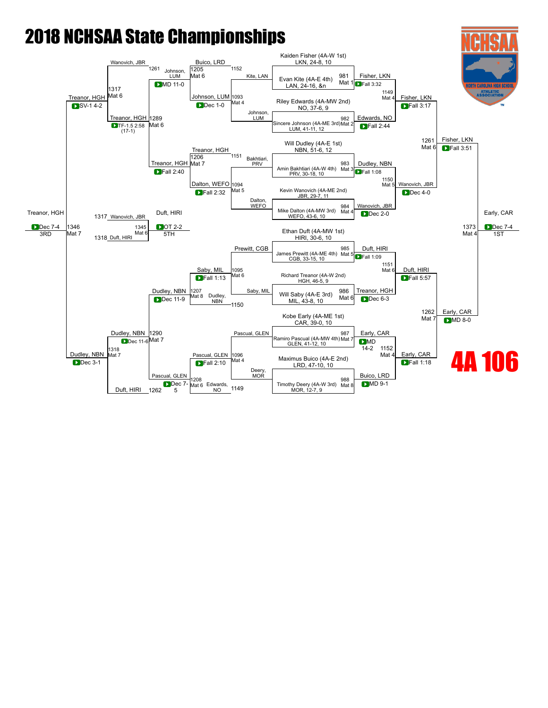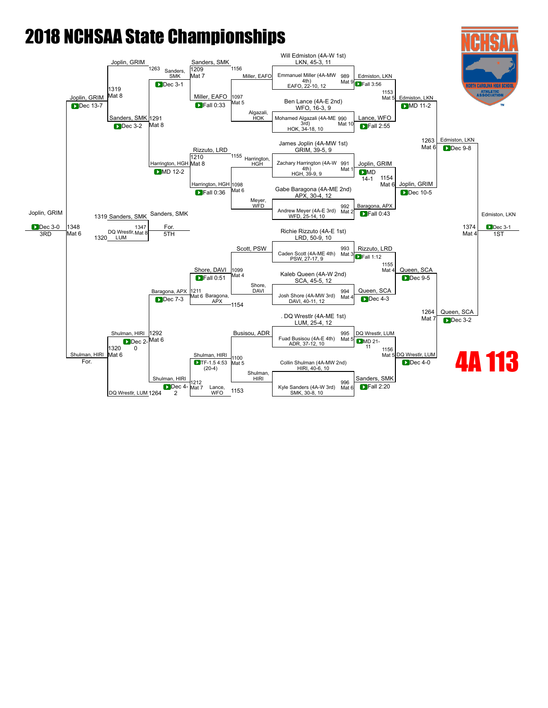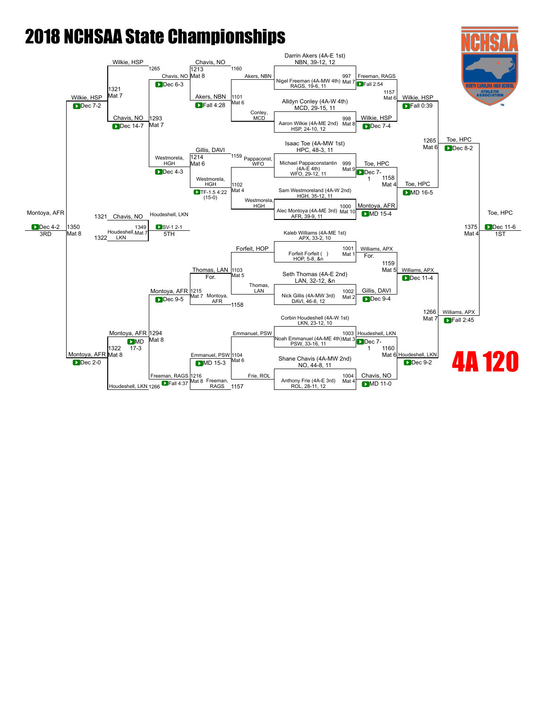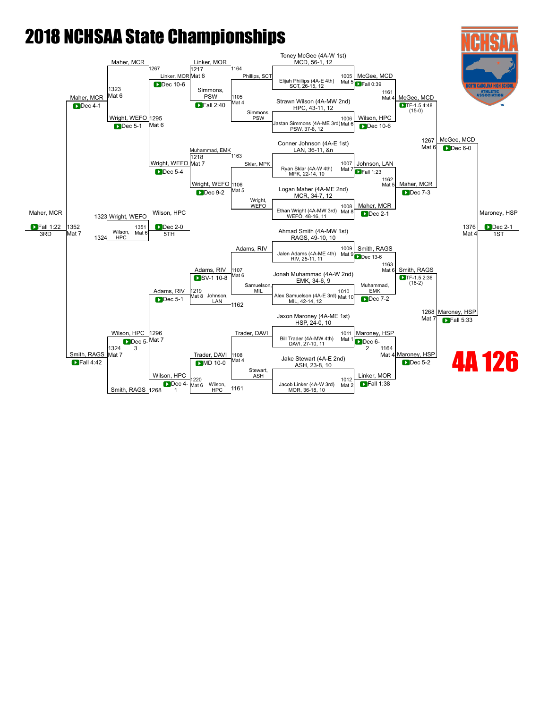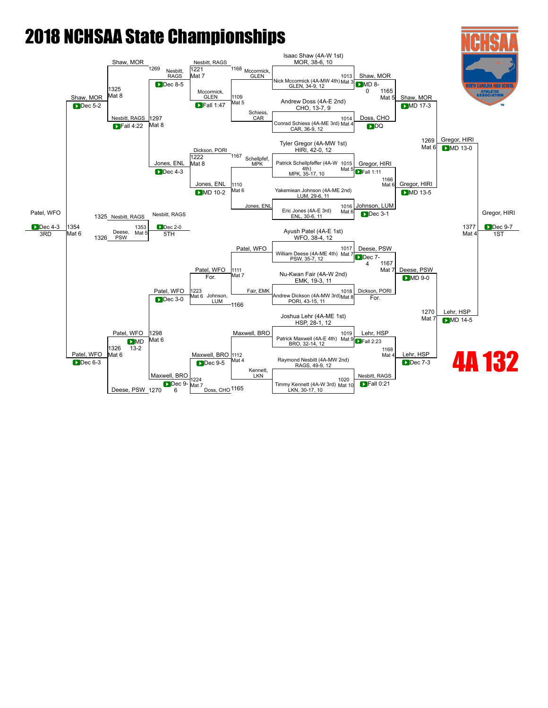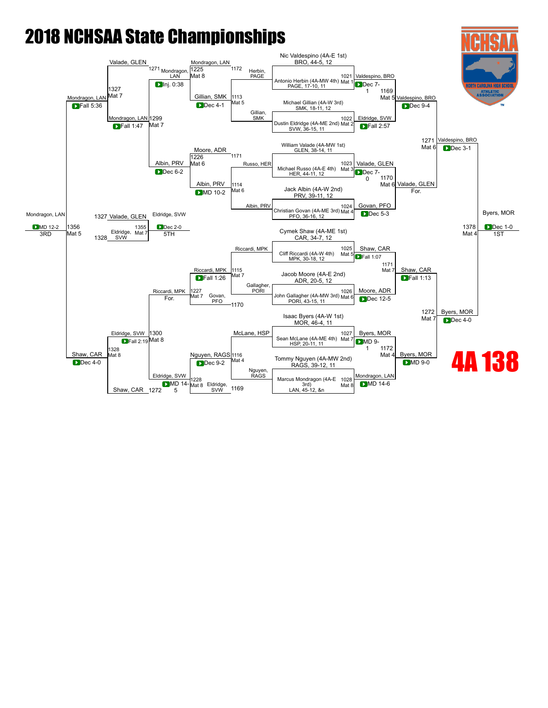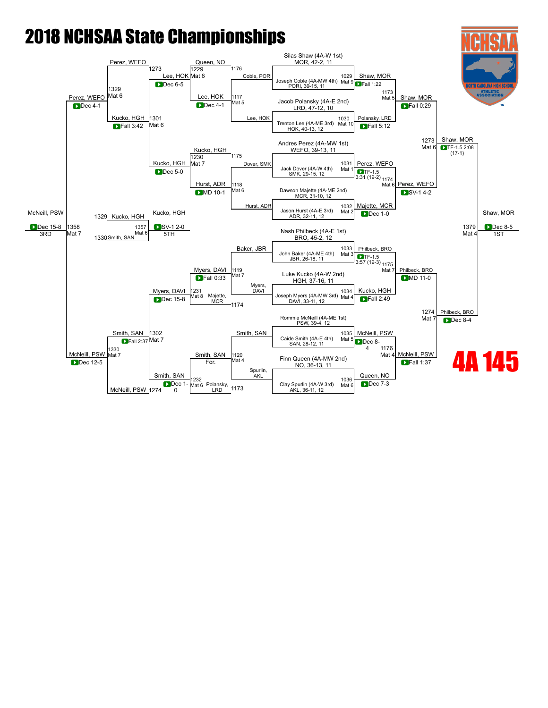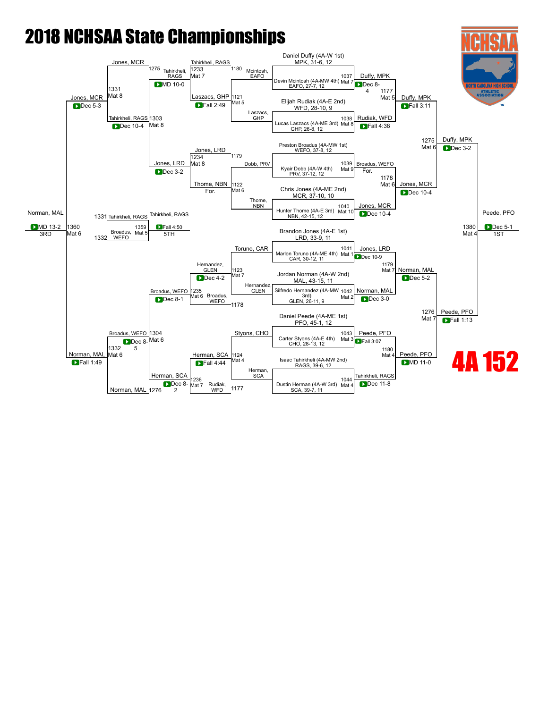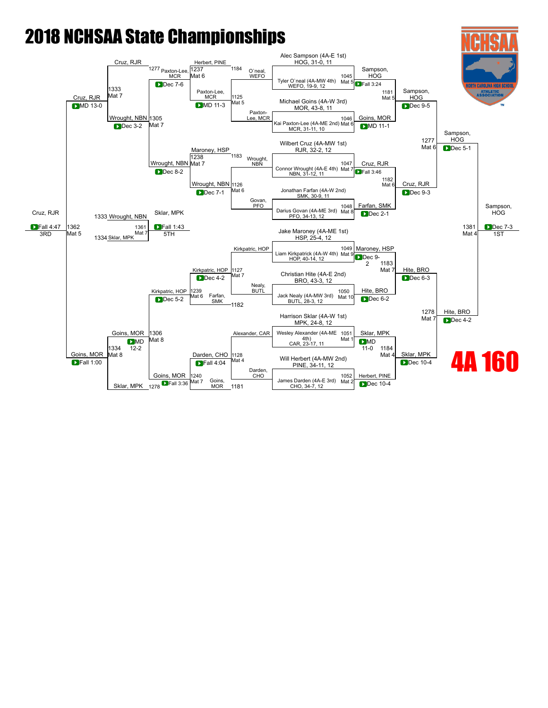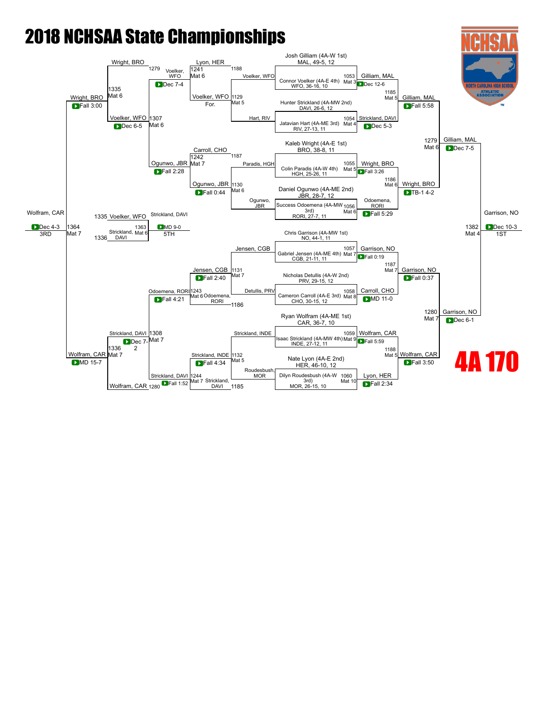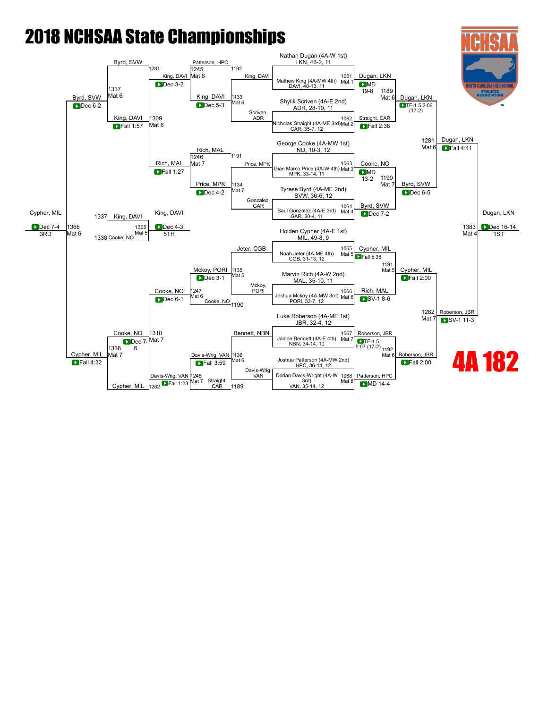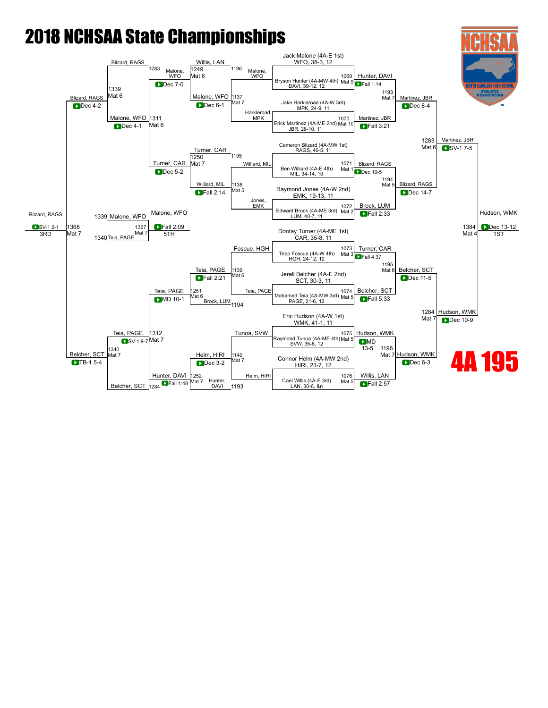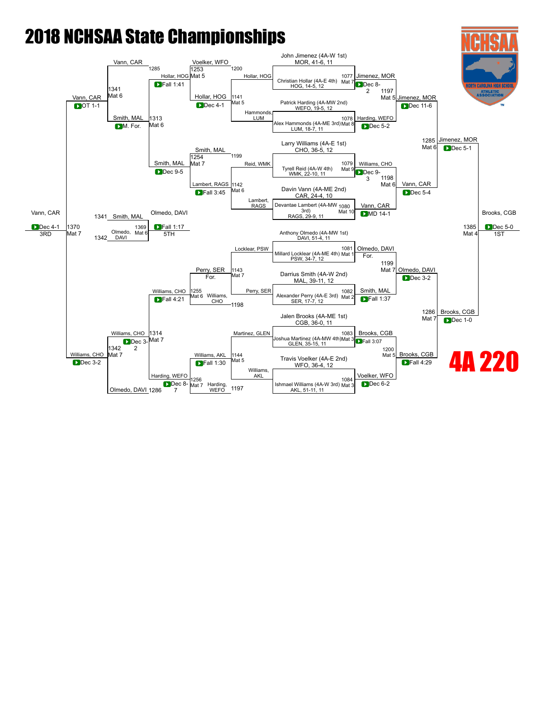